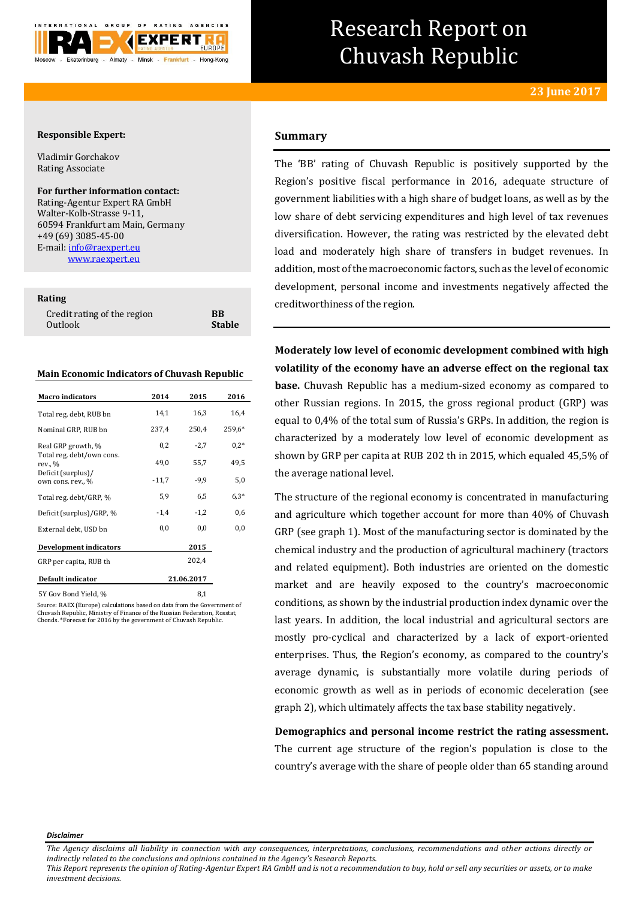

# Research Report on Chuvash Republic

# **Responsible Expert:**

Vladimir Gorchakov Rating Associate

## **For further information contact:**

Rating-Agentur Expert RA GmbH Walter-Kolb-Strasse 9-11, 60594 Frankfurt am Main, Germany +49 (69) 3085-45-00 E-mail[: info@raexpert.eu](mailto:info@raexpert.eu) [www.raexpert.eu](http://raexpert.eu/)

#### **Rating**

| Credit rating of the region | <b>BB</b>     |
|-----------------------------|---------------|
| Outlook                     | <b>Stable</b> |

#### **Main Economic Indicators of Chuvash Republic**

| <b>Macro</b> indicators                 | 2014       | 2015   | 2016     |
|-----------------------------------------|------------|--------|----------|
| Total reg. debt, RUB bn                 | 14,1       | 16,3   | 16,4     |
| Nominal GRP, RUB bn                     | 237,4      | 250,4  | $259,6*$ |
| Real GRP growth, %                      | 0,2        | $-2,7$ | $0.2*$   |
| Total reg. debt/own cons.<br>rev., %    | 49,0       | 55,7   | 49,5     |
| Deficit (surplus)/<br>own cons. rev., % | $-11,7$    | $-9.9$ | 5,0      |
| Total reg. debt/GRP, %                  | 5,9        | 6,5    | $6.3*$   |
| Deficit (surplus)/GRP, %                | $-1,4$     | $-1,2$ | 0,6      |
| External debt, USD bn                   | 0,0        | 0,0    | $_{0,0}$ |
| <b>Development indicators</b>           |            | 2015   |          |
| GRP per capita, RUB th                  |            | 202,4  |          |
| Default indicator                       | 21.06.2017 |        |          |
|                                         |            |        |          |

5Y Gov Bond Yield, % 8,1

Source: RAEX (Europe) calculations based on data from the Government of Chuvash Republic, Ministry of Finance of the Russian Federation, Rosstat, Cbonds. \*Forecast for 2016 by the government of Chuvash Republic.

# **Summary**

The 'BB' rating of Chuvash Republic is positively supported by the Region's positive fiscal performance in 2016, adequate structure of government liabilities with a high share of budget loans, as well as by the low share of debt servicing expenditures and high level of tax revenues diversification. However, the rating was restricted by the elevated debt load and moderately high share of transfers in budget revenues. In addition, most of the macroeconomic factors, such as the level of economic development, personal income and investments negatively affected the creditworthiness of the region.

**Moderately low level of economic development combined with high volatility of the economy have an adverse effect on the regional tax base.** Chuvash Republic has a medium-sized economy as compared to other Russian regions. In 2015, the gross regional product (GRP) was equal to 0,4% of the total sum of Russia's GRPs. In addition, the region is characterized by a moderately low level of economic development as shown by GRP per capita at RUB 202 th in 2015, which equaled 45,5% of the average national level.

The structure of the regional economy is concentrated in manufacturing and agriculture which together account for more than 40% of Chuvash GRP (see graph 1). Most of the manufacturing sector is dominated by the chemical industry and the production of agricultural machinery (tractors and related equipment). Both industries are oriented on the domestic market and are heavily exposed to the country's macroeconomic conditions, as shown by the industrial production index dynamic over the last years. In addition, the local industrial and agricultural sectors are mostly pro-cyclical and characterized by a lack of export-oriented enterprises. Thus, the Region's economy, as compared to the country's average dynamic, is substantially more volatile during periods of economic growth as well as in periods of economic deceleration (see graph 2), which ultimately affects the tax base stability negatively.

**Demographics and personal income restrict the rating assessment.** The current age structure of the region's population is close to the country's average with the share of people older than 65 standing around

*Disclaimer* 

*The Agency disclaims all liability in connection with any consequences, interpretations, conclusions, recommendations and other actions directly or indirectly related to the conclusions and opinions contained in the Agency's Research Reports.*

*This Report represents the opinion of Rating-Agentur Expert RA GmbH and is not a recommendation to buy, hold or sell any securities or assets, or to make investment decisions.*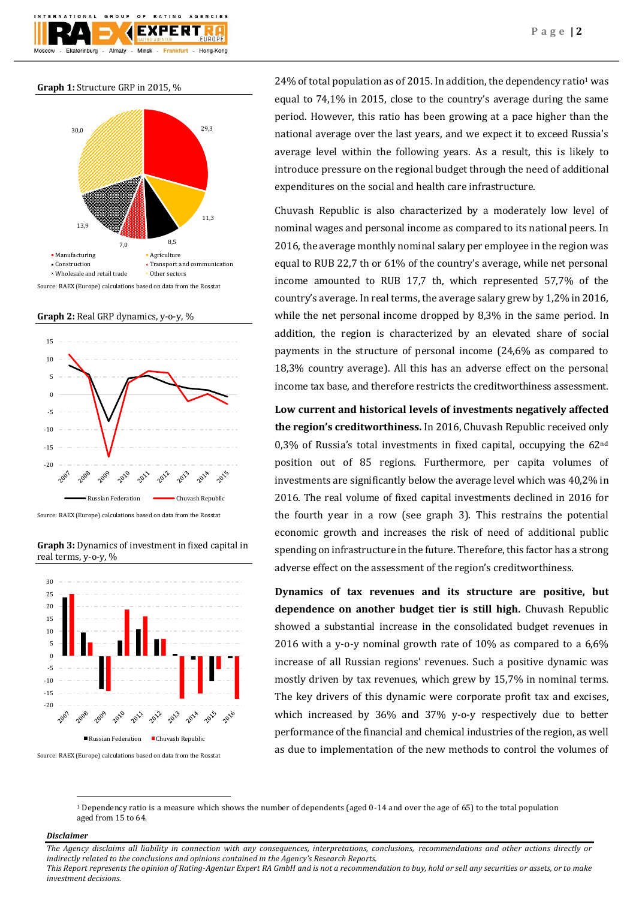

**Graph 1:** Structure GRP in 2015, %



Source: RAEX (Europe) calculations based on data from the Rosstat

**Graph 2:** Real GRP dynamics, y-o-y, %



Source: RAEX (Europe) calculations based on data from the Rosstat

**Graph 3:** Dynamics of investment in fixed capital in real terms, y-o-y, %



Source: RAEX (Europe) calculations based on data from the Rosstat

24% of total population as of 2015. In addition, the dependency ratio<sup>1</sup> was equal to 74,1% in 2015, close to the country's average during the same period. However, this ratio has been growing at a pace higher than the national average over the last years, and we expect it to exceed Russia's average level within the following years. As a result, this is likely to introduce pressure on the regional budget through the need of additional expenditures on the social and health care infrastructure.

Chuvash Republic is also characterized by a moderately low level of nominal wages and personal income as compared to its national peers. In 2016, the average monthly nominal salary per employee in the region was equal to RUB 22,7 th or 61% of the country's average, while net personal income amounted to RUB 17,7 th, which represented 57,7% of the country's average. In real terms, the average salary grew by 1,2% in 2016, while the net personal income dropped by 8,3% in the same period. In addition, the region is characterized by an elevated share of social payments in the structure of personal income (24,6% as compared to 18,3% country average). All this has an adverse effect on the personal income tax base, and therefore restricts the creditworthiness assessment.

**Low current and historical levels of investments negatively affected the region's creditworthiness.** In 2016, Chuvash Republic received only 0,3% of Russia's total investments in fixed capital, occupying the 62nd position out of 85 regions. Furthermore, per capita volumes of investments are significantly below the average level which was 40,2% in 2016. The real volume of fixed capital investments declined in 2016 for the fourth year in a row (see graph 3). This restrains the potential economic growth and increases the risk of need of additional public spending on infrastructure in the future. Therefore, this factor has a strong adverse effect on the assessment of the region's creditworthiness.

**Dynamics of tax revenues and its structure are positive, but dependence on another budget tier is still high.** Chuvash Republic showed a substantial increase in the consolidated budget revenues in 2016 with a y-o-y nominal growth rate of 10% as compared to a 6,6% increase of all Russian regions' revenues. Such a positive dynamic was mostly driven by tax revenues, which grew by 15,7% in nominal terms. The key drivers of this dynamic were corporate profit tax and excises, which increased by 36% and 37% y-o-y respectively due to better performance of the financial and chemical industries of the region, as well as due to implementation of the new methods to control the volumes of

<sup>1</sup> Dependency ratio is a measure which shows the number of dependents (aged 0-14 and over the age of 65) to the total population aged from 15 to 64.

#### *Disclaimer*

**.** 

*The Agency disclaims all liability in connection with any consequences, interpretations, conclusions, recommendations and other actions directly or indirectly related to the conclusions and opinions contained in the Agency's Research Reports. This Report represents the opinion of Rating-Agentur Expert RA GmbH and is not a recommendation to buy, hold or sell any securities or assets, or to make investment decisions.*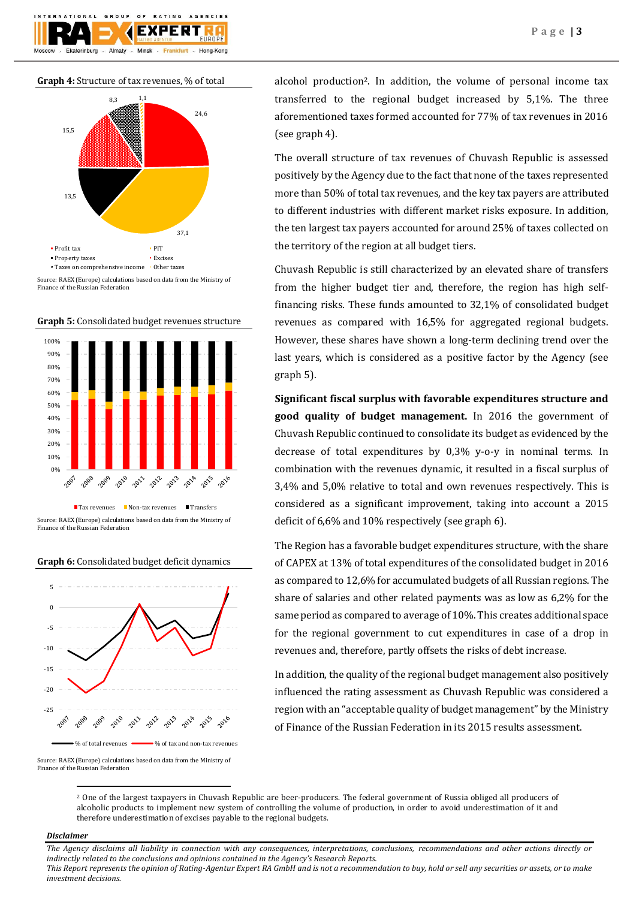



Source: RAEX (Europe) calculations based on data from the Ministry of Finance of the Russian Federation





Source: RAEX (Europe) calculations based on data from the Ministry of Finance of the Russian Federation





Source: RAEX (Europe) calculations based on data from the Ministry of Finance of the Russian Federation

alcohol production2. In addition, the volume of personal income tax transferred to the regional budget increased by 5,1%. The three aforementioned taxes formed accounted for 77% of tax revenues in 2016 (see graph 4).

The overall structure of tax revenues of Chuvash Republic is assessed positively by the Agency due to the fact that none of the taxes represented more than 50% of total tax revenues, and the key tax payers are attributed to different industries with different market risks exposure. In addition, the ten largest tax payers accounted for around 25% of taxes collected on the territory of the region at all budget tiers.

Chuvash Republic is still characterized by an elevated share of transfers from the higher budget tier and, therefore, the region has high selffinancing risks. These funds amounted to 32,1% of consolidated budget revenues as compared with 16,5% for aggregated regional budgets. However, these shares have shown a long-term declining trend over the last years, which is considered as a positive factor by the Agency (see graph 5).

**Significant fiscal surplus with favorable expenditures structure and good quality of budget management.** In 2016 the government of Chuvash Republic continued to consolidate its budget as evidenced by the decrease of total expenditures by 0,3% y-o-y in nominal terms. In combination with the revenues dynamic, it resulted in a fiscal surplus of 3,4% and 5,0% relative to total and own revenues respectively. This is considered as a significant improvement, taking into account a 2015 deficit of 6,6% and 10% respectively (see graph 6).

The Region has a favorable budget expenditures structure, with the share of CAPEX at 13% of total expenditures of the consolidated budget in 2016 as compared to 12,6% for accumulated budgets of all Russian regions. The share of salaries and other related payments was as low as 6,2% for the same period as compared to average of 10%. This creates additional space for the regional government to cut expenditures in case of a drop in revenues and, therefore, partly offsets the risks of debt increase.

In addition, the quality of the regional budget management also positively influenced the rating assessment as Chuvash Republic was considered a region with an "acceptable quality of budget management" by the Ministry of Finance of the Russian Federation in its 2015 results assessment.

#### *Disclaimer*

**.** 

*The Agency disclaims all liability in connection with any consequences, interpretations, conclusions, recommendations and other actions directly or indirectly related to the conclusions and opinions contained in the Agency's Research Reports.*

*This Report represents the opinion of Rating-Agentur Expert RA GmbH and is not a recommendation to buy, hold or sell any securities or assets, or to make investment decisions.*

<sup>2</sup> One of the largest taxpayers in Chuvash Republic are beer-producers. The federal government of Russia obliged all producers of alcoholic products to implement new system of controlling the volume of production, in order to avoid underestimation of it and therefore underestimation of excises payable to the regional budgets.